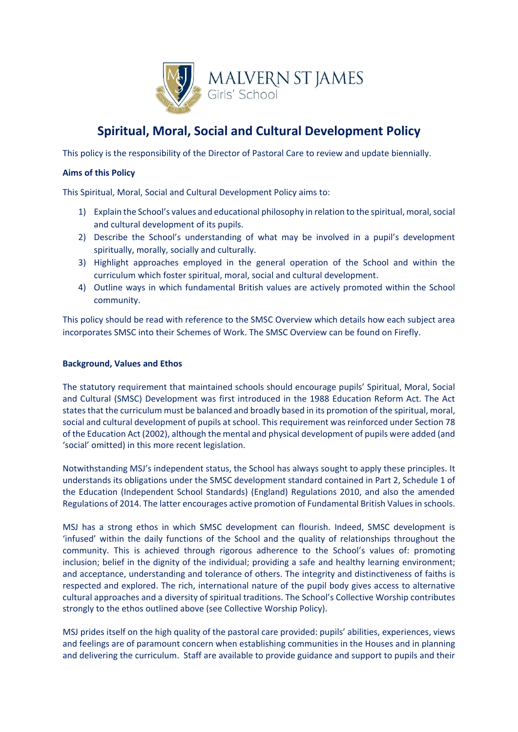

# **Spiritual, Moral, Social and Cultural Development Policy**

This policy is the responsibility of the Director of Pastoral Care to review and update biennially.

## **Aims of this Policy**

This Spiritual, Moral, Social and Cultural Development Policy aims to:

- 1) Explain the School's values and educational philosophy in relation to the spiritual, moral, social and cultural development of its pupils.
- 2) Describe the School's understanding of what may be involved in a pupil's development spiritually, morally, socially and culturally.
- 3) Highlight approaches employed in the general operation of the School and within the curriculum which foster spiritual, moral, social and cultural development.
- 4) Outline ways in which fundamental British values are actively promoted within the School community.

This policy should be read with reference to the SMSC Overview which details how each subject area incorporates SMSC into their Schemes of Work. The SMSC Overview can be found on Firefly.

## **Background, Values and Ethos**

The statutory requirement that maintained schools should encourage pupils' Spiritual, Moral, Social and Cultural (SMSC) Development was first introduced in the 1988 Education Reform Act. The Act states that the curriculum must be balanced and broadly based in its promotion of the spiritual, moral, social and cultural development of pupils at school. This requirement was reinforced under Section 78 of the Education Act (2002), although the mental and physical development of pupils were added (and 'social' omitted) in this more recent legislation.

Notwithstanding MSJ's independent status, the School has always sought to apply these principles. It understands its obligations under the SMSC development standard contained in Part 2, Schedule 1 of the Education (Independent School Standards) (England) Regulations 2010, and also the amended Regulations of 2014. The latter encourages active promotion of Fundamental British Values in schools.

MSJ has a strong ethos in which SMSC development can flourish. Indeed, SMSC development is 'infused' within the daily functions of the School and the quality of relationships throughout the community. This is achieved through rigorous adherence to the School's values of: promoting inclusion; belief in the dignity of the individual; providing a safe and healthy learning environment; and acceptance, understanding and tolerance of others. The integrity and distinctiveness of faiths is respected and explored. The rich, international nature of the pupil body gives access to alternative cultural approaches and a diversity of spiritual traditions. The School's Collective Worship contributes strongly to the ethos outlined above (see Collective Worship Policy).

MSJ prides itself on the high quality of the pastoral care provided: pupils' abilities, experiences, views and feelings are of paramount concern when establishing communities in the Houses and in planning and delivering the curriculum. Staff are available to provide guidance and support to pupils and their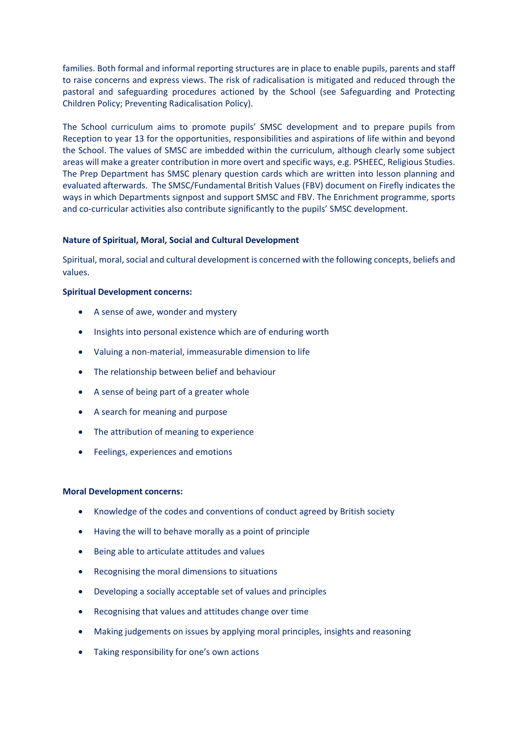families. Both formal and informal reporting structures are in place to enable pupils, parents and staff to raise concerns and express views. The risk of radicalisation is mitigated and reduced through the pastoral and safeguarding procedures actioned by the School (see Safeguarding and Protecting Children Policy; Preventing Radicalisation Policy).

The School curriculum aims to promote pupils' SMSC development and to prepare pupils from Reception to year 13 for the opportunities, responsibilities and aspirations of life within and beyond the School. The values of SMSC are imbedded within the curriculum, although clearly some subject areas will make a greater contribution in more overt and specific ways, e.g. PSHEEC, Religious Studies. The Prep Department has SMSC plenary question cards which are written into lesson planning and evaluated afterwards. The SMSC/Fundamental British Values (FBV) document on Firefly indicates the ways in which Departments signpost and support SMSC and FBV. The Enrichment programme, sports and co-curricular activities also contribute significantly to the pupils' SMSC development.

## **Nature of Spiritual, Moral, Social and Cultural Development**

Spiritual, moral, social and cultural development is concerned with the following concepts, beliefs and values.

#### **Spiritual Development concerns:**

- A sense of awe, wonder and mystery
- Insights into personal existence which are of enduring worth
- Valuing a non-material, immeasurable dimension to life
- The relationship between belief and behaviour
- A sense of being part of a greater whole
- A search for meaning and purpose
- The attribution of meaning to experience
- Feelings, experiences and emotions

#### **Moral Development concerns:**

- Knowledge of the codes and conventions of conduct agreed by British society
- Having the will to behave morally as a point of principle
- Being able to articulate attitudes and values
- Recognising the moral dimensions to situations
- Developing a socially acceptable set of values and principles
- Recognising that values and attitudes change over time
- Making judgements on issues by applying moral principles, insights and reasoning
- Taking responsibility for one's own actions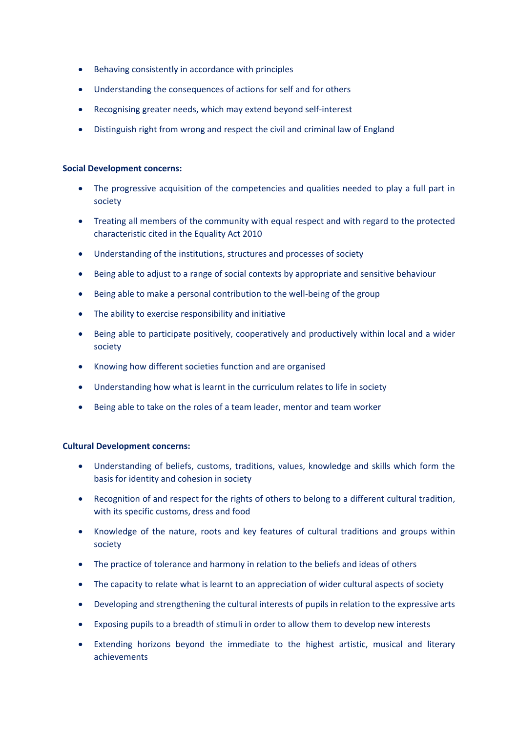- Behaving consistently in accordance with principles
- Understanding the consequences of actions for self and for others
- Recognising greater needs, which may extend beyond self-interest
- Distinguish right from wrong and respect the civil and criminal law of England

### **Social Development concerns:**

- The progressive acquisition of the competencies and qualities needed to play a full part in society
- Treating all members of the community with equal respect and with regard to the protected characteristic cited in the Equality Act 2010
- Understanding of the institutions, structures and processes of society
- Being able to adjust to a range of social contexts by appropriate and sensitive behaviour
- Being able to make a personal contribution to the well-being of the group
- The ability to exercise responsibility and initiative
- Being able to participate positively, cooperatively and productively within local and a wider society
- Knowing how different societies function and are organised
- Understanding how what is learnt in the curriculum relates to life in society
- Being able to take on the roles of a team leader, mentor and team worker

## **Cultural Development concerns:**

- Understanding of beliefs, customs, traditions, values, knowledge and skills which form the basis for identity and cohesion in society
- Recognition of and respect for the rights of others to belong to a different cultural tradition, with its specific customs, dress and food
- Knowledge of the nature, roots and key features of cultural traditions and groups within society
- The practice of tolerance and harmony in relation to the beliefs and ideas of others
- The capacity to relate what is learnt to an appreciation of wider cultural aspects of society
- Developing and strengthening the cultural interests of pupils in relation to the expressive arts
- Exposing pupils to a breadth of stimuli in order to allow them to develop new interests
- Extending horizons beyond the immediate to the highest artistic, musical and literary achievements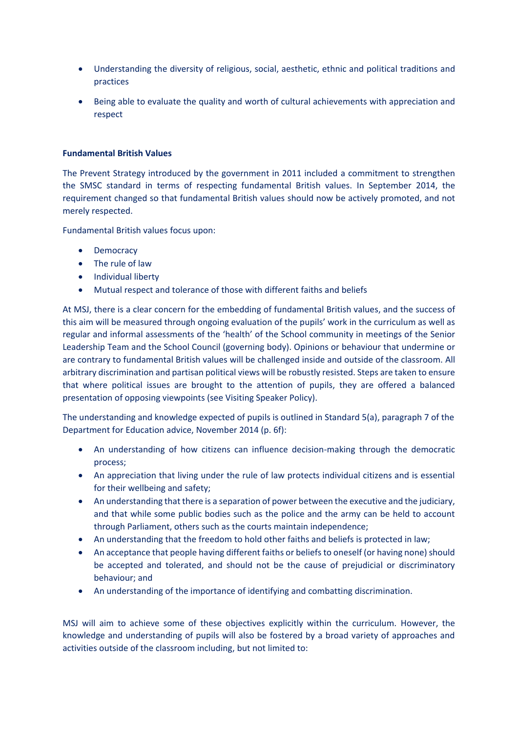- Understanding the diversity of religious, social, aesthetic, ethnic and political traditions and practices
- Being able to evaluate the quality and worth of cultural achievements with appreciation and respect

## **Fundamental British Values**

The Prevent Strategy introduced by the government in 2011 included a commitment to strengthen the SMSC standard in terms of respecting fundamental British values. In September 2014, the requirement changed so that fundamental British values should now be actively promoted, and not merely respected.

Fundamental British values focus upon:

- Democracy
- The rule of law
- Individual liberty
- Mutual respect and tolerance of those with different faiths and beliefs

At MSJ, there is a clear concern for the embedding of fundamental British values, and the success of this aim will be measured through ongoing evaluation of the pupils' work in the curriculum as well as regular and informal assessments of the 'health' of the School community in meetings of the Senior Leadership Team and the School Council (governing body). Opinions or behaviour that undermine or are contrary to fundamental British values will be challenged inside and outside of the classroom. All arbitrary discrimination and partisan political views will be robustly resisted. Steps are taken to ensure that where political issues are brought to the attention of pupils, they are offered a balanced presentation of opposing viewpoints (see Visiting Speaker Policy).

The understanding and knowledge expected of pupils is outlined in Standard 5(a), paragraph 7 of the Department for Education advice, November 2014 (p. 6f):

- An understanding of how citizens can influence decision-making through the democratic process;
- An appreciation that living under the rule of law protects individual citizens and is essential for their wellbeing and safety;
- An understanding that there is a separation of power between the executive and the judiciary, and that while some public bodies such as the police and the army can be held to account through Parliament, others such as the courts maintain independence;
- An understanding that the freedom to hold other faiths and beliefs is protected in law;
- An acceptance that people having different faiths or beliefs to oneself (or having none) should be accepted and tolerated, and should not be the cause of prejudicial or discriminatory behaviour; and
- An understanding of the importance of identifying and combatting discrimination.

MSJ will aim to achieve some of these objectives explicitly within the curriculum. However, the knowledge and understanding of pupils will also be fostered by a broad variety of approaches and activities outside of the classroom including, but not limited to: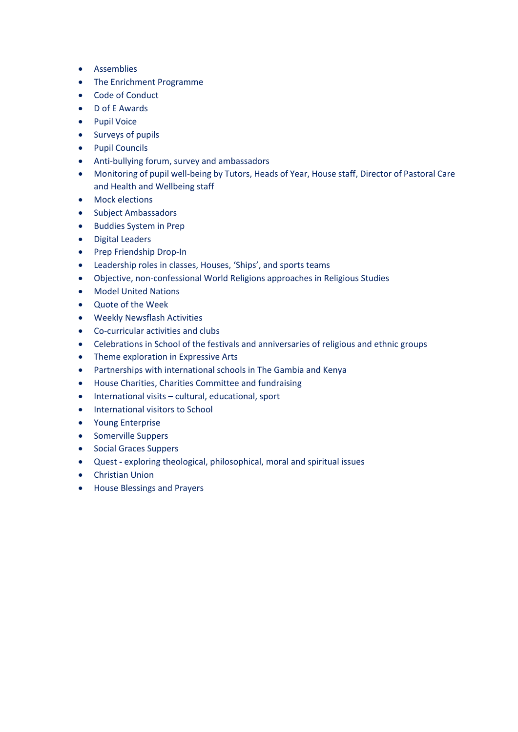- Assemblies
- The Enrichment Programme
- Code of Conduct
- D of E Awards
- Pupil Voice
- Surveys of pupils
- Pupil Councils
- Anti-bullying forum, survey and ambassadors
- Monitoring of pupil well-being by Tutors, Heads of Year, House staff, Director of Pastoral Care and Health and Wellbeing staff
- Mock elections
- Subject Ambassadors
- Buddies System in Prep
- Digital Leaders
- Prep Friendship Drop-In
- Leadership roles in classes, Houses, 'Ships', and sports teams
- Objective, non-confessional World Religions approaches in Religious Studies
- Model United Nations
- Quote of the Week
- Weekly Newsflash Activities
- Co-curricular activities and clubs
- Celebrations in School of the festivals and anniversaries of religious and ethnic groups
- Theme exploration in Expressive Arts
- Partnerships with international schools in The Gambia and Kenya
- House Charities, Charities Committee and fundraising
- International visits cultural, educational, sport
- International visitors to School
- Young Enterprise
- Somerville Suppers
- Social Graces Suppers
- Quest exploring theological, philosophical, moral and spiritual issues
- Christian Union
- House Blessings and Prayers